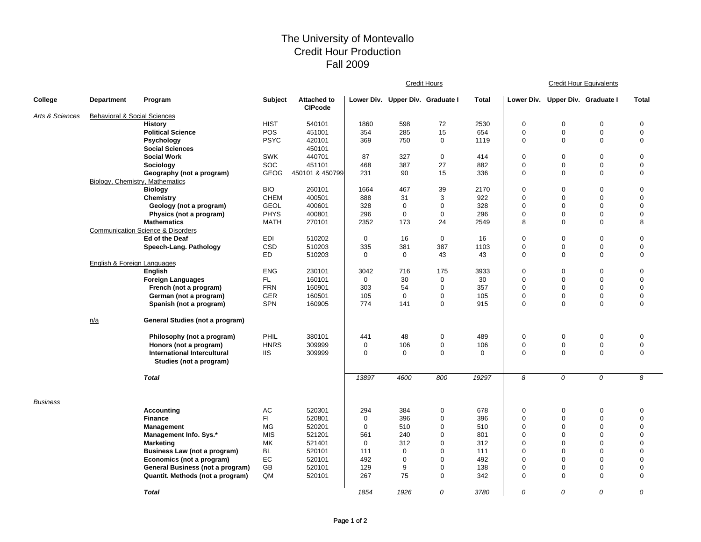## The University of Montevallo Credit Hour Production Fall 2009

|                 |                                         |                                                        |             |                                      |             | <b>Credit Hours</b>              |             |             |             | <b>Credit Hour Equivalents</b>   |             |                  |  |
|-----------------|-----------------------------------------|--------------------------------------------------------|-------------|--------------------------------------|-------------|----------------------------------|-------------|-------------|-------------|----------------------------------|-------------|------------------|--|
| College         | <b>Department</b>                       | Program                                                | Subject     | <b>Attached to</b><br><b>CIPcode</b> |             | Lower Div. Upper Div. Graduate I |             | Total       |             | Lower Div. Upper Div. Graduate I |             | <b>Total</b>     |  |
| Arts & Sciences | <b>Behavioral &amp; Social Sciences</b> |                                                        |             |                                      |             |                                  |             |             |             |                                  |             |                  |  |
|                 |                                         | <b>History</b>                                         | <b>HIST</b> | 540101                               | 1860        | 598                              | 72          | 2530        | $\mathbf 0$ | $\mathbf 0$                      | $\mathbf 0$ | $\mathbf 0$      |  |
|                 |                                         | <b>Political Science</b>                               | <b>POS</b>  | 451001                               | 354         | 285                              | 15          | 654         | $\mathbf 0$ | $\mathbf 0$                      | $\mathbf 0$ | $\mathbf 0$      |  |
|                 |                                         | Psychology                                             | <b>PSYC</b> | 420101                               | 369         | 750                              | 0           | 1119        | $\mathbf 0$ | $\mathbf 0$                      | $\mathbf 0$ | $\mathbf 0$      |  |
|                 |                                         | <b>Social Sciences</b>                                 |             | 450101                               |             |                                  |             |             |             |                                  |             |                  |  |
|                 |                                         | <b>Social Work</b>                                     | <b>SWK</b>  | 440701                               | 87          | 327                              | $\mathbf 0$ | 414         | $\mathbf 0$ | $\mathbf 0$                      | $\mathbf 0$ | $\boldsymbol{0}$ |  |
|                 |                                         | Sociology                                              | <b>SOC</b>  | 451101                               | 468         | 387                              | 27          | 882         | $\mathbf 0$ | $\mathbf 0$                      | 0           | 0                |  |
|                 |                                         | Geography (not a program)                              | <b>GEOG</b> | 450101 & 450799                      | 231         | 90                               | 15          | 336         | $\mathbf 0$ | $\mathbf 0$                      | $\mathbf 0$ | $\mathbf 0$      |  |
|                 | Biology, Chemistry, Mathematics         |                                                        |             |                                      |             |                                  |             |             |             |                                  |             |                  |  |
|                 |                                         | <b>Biology</b>                                         | <b>BIO</b>  | 260101                               | 1664        | 467                              | 39          | 2170        | $\mathbf 0$ | $\mathbf 0$                      | $\mathbf 0$ | $\mathbf 0$      |  |
|                 |                                         | <b>Chemistry</b>                                       | <b>CHEM</b> | 400501                               | 888         | 31                               | 3           | 922         | $\mathbf 0$ | $\mathbf 0$                      | $\mathbf 0$ | $\mathbf 0$      |  |
|                 |                                         | Geology (not a program)                                | <b>GEOL</b> | 400601                               | 328         | 0                                | 0           | 328         | $\mathbf 0$ | $\mathbf 0$                      | $\mathbf 0$ | 0                |  |
|                 |                                         | Physics (not a program)                                | <b>PHYS</b> | 400801                               | 296         | $\mathbf 0$                      | $\mathbf 0$ | 296         | $\mathbf 0$ | $\mathbf 0$                      | $\mathbf 0$ | $\Omega$         |  |
|                 |                                         | <b>Mathematics</b>                                     | <b>MATH</b> | 270101                               | 2352        | 173                              | 24          | 2549        | 8           | $\Omega$                         | $\mathbf 0$ | 8                |  |
|                 |                                         | <b>Communication Science &amp; Disorders</b>           |             |                                      |             |                                  |             |             |             |                                  |             |                  |  |
|                 |                                         | Ed of the Deaf                                         | EDI         | 510202                               | $\mathbf 0$ | 16                               | $\mathbf 0$ | 16          | $\mathbf 0$ | $\mathbf 0$                      | $\mathbf 0$ | $\mathbf 0$      |  |
|                 |                                         | Speech-Lang. Pathology                                 | CSD         | 510203                               | 335         | 381                              | 387         | 1103        | $\mathbf 0$ | $\mathbf 0$                      | $\mathbf 0$ | $\mathbf 0$      |  |
|                 |                                         |                                                        | <b>ED</b>   | 510203                               | $\Omega$    | 0                                | 43          | 43          | $\mathbf 0$ | $\Omega$                         | $\Omega$    | $\mathbf 0$      |  |
|                 | English & Foreign Languages             |                                                        |             |                                      |             |                                  |             |             |             |                                  |             |                  |  |
|                 |                                         | English                                                | <b>ENG</b>  | 230101                               | 3042        | 716                              | 175         | 3933        | $\mathbf 0$ | $\mathbf 0$                      | $\mathbf 0$ | $\boldsymbol{0}$ |  |
|                 |                                         | <b>Foreign Languages</b>                               | FL.         | 160101                               | $\mathbf 0$ | 30                               | $\mathbf 0$ | 30          | $\mathbf 0$ | $\mathbf 0$                      | $\mathbf 0$ | $\mathbf 0$      |  |
|                 |                                         | French (not a program)                                 | <b>FRN</b>  | 160901                               | 303         | 54                               | 0           | 357         | $\mathbf 0$ | 0                                | $\Omega$    | 0                |  |
|                 |                                         | German (not a program)                                 | <b>GER</b>  | 160501                               | 105         | 0                                | 0           | 105         | $\mathbf 0$ | $\mathbf 0$                      | 0           | $\boldsymbol{0}$ |  |
|                 |                                         | Spanish (not a program)                                | <b>SPN</b>  | 160905                               | 774         | 141                              | 0           | 915         | $\mathbf 0$ | $\Omega$                         | $\Omega$    | $\mathbf 0$      |  |
|                 | n/a                                     | General Studies (not a program)                        |             |                                      |             |                                  |             |             |             |                                  |             |                  |  |
|                 |                                         | Philosophy (not a program)                             | PHIL        | 380101                               | 441         | 48                               | 0           | 489         | $\mathbf 0$ | $\mathbf 0$                      | $\mathbf 0$ | $\mathbf 0$      |  |
|                 |                                         | Honors (not a program)                                 | <b>HNRS</b> | 309999                               | 0           | 106                              | 0           | 106         | $\mathbf 0$ | $\mathbf 0$                      | 0           | $\mathbf 0$      |  |
|                 |                                         | International Intercultural<br>Studies (not a program) | <b>IIS</b>  | 309999                               | $\mathbf 0$ | 0                                | 0           | $\mathbf 0$ | $\mathbf 0$ | $\mathbf 0$                      | $\mathbf 0$ | 0                |  |
|                 |                                         | <b>Total</b>                                           |             |                                      | 13897       | 4600                             | 800         | 19297       | 8           | 0                                | 0           | 8                |  |
| <b>Business</b> |                                         |                                                        |             |                                      |             |                                  |             |             |             |                                  |             |                  |  |
|                 |                                         | <b>Accounting</b>                                      | AC          | 520301                               | 294         | 384                              | 0           | 678         | 0           | 0                                | 0           | $\mathbf 0$      |  |
|                 |                                         | <b>Finance</b>                                         | FI.         | 520801                               | $\mathbf 0$ | 396                              | 0           | 396         | $\mathbf 0$ | $\mathbf 0$                      | $\mathbf 0$ | $\mathbf 0$      |  |
|                 |                                         | <b>Management</b>                                      | <b>MG</b>   | 520201                               | $\mathbf 0$ | 510                              | $\mathbf 0$ | 510         | $\mathbf 0$ | $\mathbf 0$                      | $\Omega$    | $\mathbf 0$      |  |
|                 |                                         | Management Info. Sys.*                                 | <b>MIS</b>  | 521201                               | 561         | 240                              | 0           | 801         | $\mathbf 0$ | $\mathbf 0$                      | $\Omega$    | $\Omega$         |  |
|                 |                                         | <b>Marketing</b>                                       | MK          | 521401                               | $\mathbf 0$ | 312                              | 0           | 312         | $\mathbf 0$ | 0                                | $\mathbf 0$ | $\mathbf 0$      |  |
|                 |                                         | Business Law (not a program)                           | BL          | 520101                               | 111         | 0                                | 0           | 111         | $\mathbf 0$ | $\mathbf 0$                      | $\Omega$    | $\overline{0}$   |  |
|                 |                                         | Economics (not a program)                              | EC          | 520101                               | 492         | $\mathbf 0$                      | 0           | 492         | $\mathbf 0$ | $\mathbf 0$                      | $\Omega$    | $\overline{0}$   |  |
|                 |                                         | General Business (not a program)                       | GB          | 520101                               | 129         | 9                                | 0           | 138         | $\mathbf 0$ | $\mathbf 0$                      | $\Omega$    | $\mathbf 0$      |  |
|                 |                                         | Quantit. Methods (not a program)                       | QM          | 520101                               | 267         | 75                               | 0           | 342         | $\mathbf 0$ | $\mathbf 0$                      | $\mathbf 0$ | 0                |  |
|                 |                                         | <b>Total</b>                                           |             |                                      | 1854        | 1926                             | 0           | 3780        | $\Omega$    | $\Omega$                         | $\Omega$    | $\Omega$         |  |